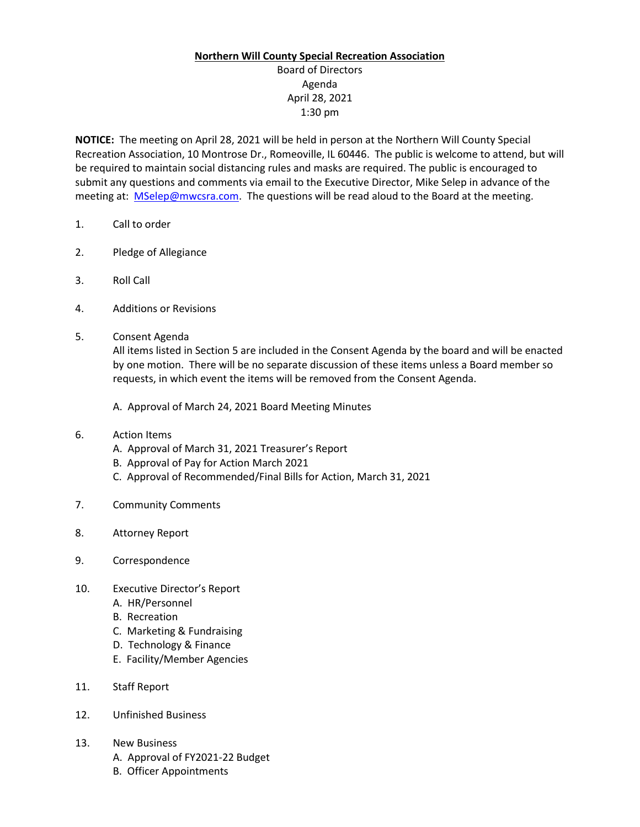## **Northern Will County Special Recreation Association**

Board of Directors Agenda April 28, 2021 1:30 pm

**NOTICE:** The meeting on April 28, 2021 will be held in person at the Northern Will County Special Recreation Association, 10 Montrose Dr., Romeoville, IL 60446. The public is welcome to attend, but will be required to maintain social distancing rules and masks are required. The public is encouraged to submit any questions and comments via email to the Executive Director, Mike Selep in advance of the meeting at: [MSelep@mwcsra.com.](mailto:MSelep@mwcsra.com) The questions will be read aloud to the Board at the meeting.

- 1. Call to order
- 2. Pledge of Allegiance
- 3. Roll Call
- 4. Additions or Revisions
- 5. Consent Agenda

All items listed in Section 5 are included in the Consent Agenda by the board and will be enacted by one motion. There will be no separate discussion of these items unless a Board member so requests, in which event the items will be removed from the Consent Agenda.

A. Approval of March 24, 2021 Board Meeting Minutes

- 6. Action Items
	- A. Approval of March 31, 2021 Treasurer's Report
	- B. Approval of Pay for Action March 2021
	- C. Approval of Recommended/Final Bills for Action, March 31, 2021
- 7. Community Comments
- 8. Attorney Report
- 9. Correspondence
- 10. Executive Director's Report
	- A. HR/Personnel
	- B. Recreation
	- C. Marketing & Fundraising
	- D. Technology & Finance
	- E. Facility/Member Agencies
- 11. Staff Report
- 12. Unfinished Business
- 13. New Business
	- A. Approval of FY2021-22 Budget
	- B. Officer Appointments